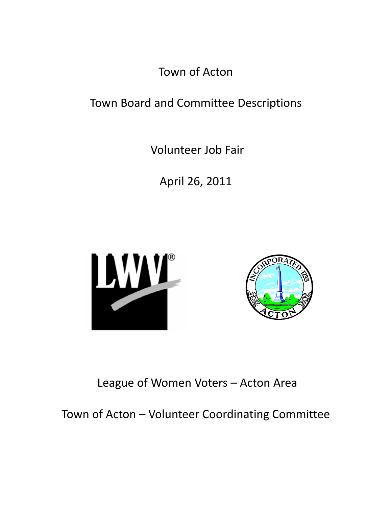Town of Acton

# Town Board and Committee Descriptions

Volunteer Job Fair

April 26, 2011





# League of Women Voters – Acton Area

Town of Acton – Volunteer Coordinating Committee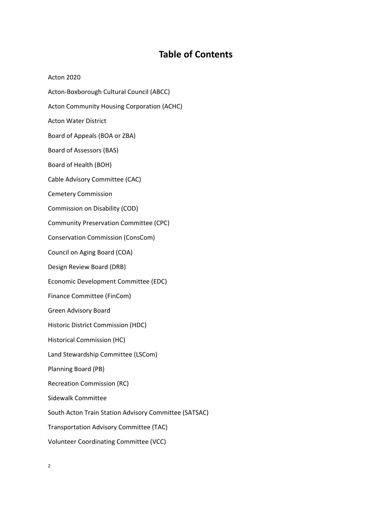# **Table of Contents**

Acton 2020 Acton‐Boxborough Cultural Council (ABCC) Acton Community Housing Corporation (ACHC) Acton Water District Board of Appeals (BOA or ZBA) Board of Assessors (BAS) Board of Health (BOH) Cable Advisory Committee (CAC) Cemetery Commission Commission on Disability (COD) Community Preservation Committee (CPC) Conservation Commission (ConsCom) Council on Aging Board (COA) Design Review Board (DRB) Economic Development Committee (EDC) Finance Committee (FinCom) Green Advisory Board Historic District Commission (HDC) Historical Commission (HC) Land Stewardship Committee (LSCom) Planning Board (PB) Recreation Commission (RC) Sidewalk Committee South Acton Train Station Advisory Committee (SATSAC) Transportation Advisory Committee (TAC) Volunteer Coordinating Committee (VCC)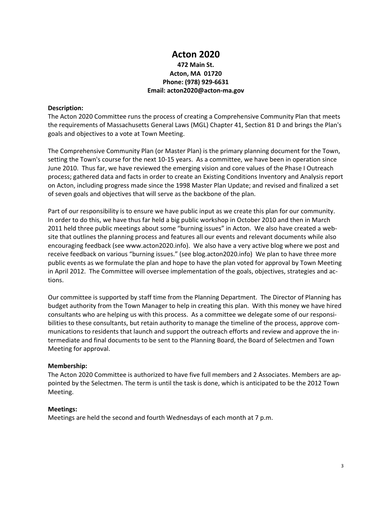# **Acton 2020**

# **472 Main St. Acton, MA 01720 Phone: (978) 929‐6631 Email: acton2020@acton‐ma.gov**

### **Description:**

The Acton 2020 Committee runs the process of creating a Comprehensive Community Plan that meets the requirements of Massachusetts General Laws (MGL) Chapter 41, Section 81 D and brings the Plan's goals and objectives to a vote at Town Meeting.

The Comprehensive Community Plan (or Master Plan) is the primary planning document for the Town, setting the Town's course for the next 10-15 years. As a committee, we have been in operation since June 2010. Thus far, we have reviewed the emerging vision and core values of the Phase I Outreach process; gathered data and facts in order to create an Existing Conditions Inventory and Analysis report on Acton, including progress made since the 1998 Master Plan Update; and revised and finalized a set of seven goals and objectives that will serve as the backbone of the plan.

Part of our responsibility is to ensure we have public input as we create this plan for our community. In order to do this, we have thus far held a big public workshop in October 2010 and then in March 2011 held three public meetings about some "burning issues" in Acton. We also have created a website that outlines the planning process and features all our events and relevant documents while also encouraging feedback (see www.acton2020.info). We also have a very active blog where we post and receive feedback on various "burning issues." (see blog.acton2020.info) We plan to have three more public events as we formulate the plan and hope to have the plan voted for approval by Town Meeting in April 2012. The Committee will oversee implementation of the goals, objectives, strategies and ac‐ tions.

Our committee is supported by staff time from the Planning Department. The Director of Planning has budget authority from the Town Manager to help in creating this plan. With this money we have hired consultants who are helping us with this process. As a committee we delegate some of our responsi‐ bilities to these consultants, but retain authority to manage the timeline of the process, approve communications to residents that launch and support the outreach efforts and review and approve the in‐ termediate and final documents to be sent to the Planning Board, the Board of Selectmen and Town Meeting for approval.

#### **Membership:**

The Acton 2020 Committee is authorized to have five full members and 2 Associates. Members are ap‐ pointed by the Selectmen. The term is until the task is done, which is anticipated to be the 2012 Town Meeting.

#### **Meetings:**

Meetings are held the second and fourth Wednesdays of each month at 7 p.m.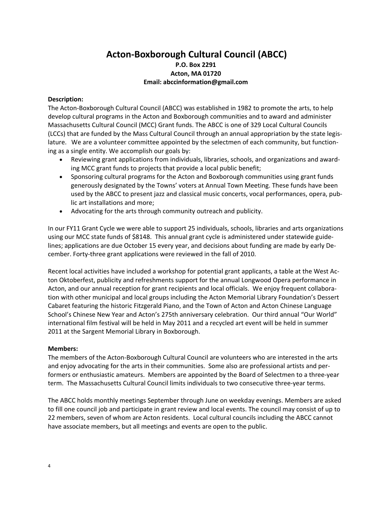# **Acton‐Boxborough Cultural Council (ABCC) P.O. Box 2291 Acton, MA 01720 Email: abccinformation@gmail.com**

# **Description:**

The Acton‐Boxborough Cultural Council (ABCC) was established in 1982 to promote the arts, to help develop cultural programs in the Acton and Boxborough communities and to award and administer Massachusetts Cultural Council (MCC) Grant funds. The ABCC is one of 329 Local Cultural Councils (LCCs) that are funded by the Mass Cultural Council through an annual appropriation by the state legis‐ lature. We are a volunteer committee appointed by the selectmen of each community, but functioning as a single entity. We accomplish our goals by:

- Reviewing grant applications from individuals, libraries, schools, and organizations and award‐ ing MCC grant funds to projects that provide a local public benefit;
- Sponsoring cultural programs for the Acton and Boxborough communities using grant funds generously designated by the Towns' voters at Annual Town Meeting. These funds have been used by the ABCC to present jazz and classical music concerts, vocal performances, opera, pub‐ lic art installations and more;
- Advocating for the arts through community outreach and publicity.

In our FY11 Grant Cycle we were able to support 25 individuals, schools, libraries and arts organizations using our MCC state funds of \$8148. This annual grant cycle is administered under statewide guide‐ lines; applications are due October 15 every year, and decisions about funding are made by early De‐ cember. Forty‐three grant applications were reviewed in the fall of 2010.

Recent local activities have included a workshop for potential grant applicants, a table at the West Ac‐ ton Oktoberfest, publicity and refreshments support for the annual Longwood Opera performance in Acton, and our annual reception for grant recipients and local officials. We enjoy frequent collabora‐ tion with other municipal and local groups including the Acton Memorial Library Foundation's Dessert Cabaret featuring the historic Fitzgerald Piano, and the Town of Acton and Acton Chinese Language School's Chinese New Year and Acton's 275th anniversary celebration. Our third annual "Our World" international film festival will be held in May 2011 and a recycled art event will be held in summer 2011 at the Sargent Memorial Library in Boxborough.

# **Members:**

The members of the Acton‐Boxborough Cultural Council are volunteers who are interested in the arts and enjoy advocating for the arts in their communities. Some also are professional artists and performers or enthusiastic amateurs. Members are appointed by the Board of Selectmen to a three‐year term. The Massachusetts Cultural Council limits individuals to two consecutive three‐year terms.

The ABCC holds monthly meetings September through June on weekday evenings. Members are asked to fill one council job and participate in grant review and local events. The council may consist of up to 22 members, seven of whom are Acton residents. Local cultural councils including the ABCC cannot have associate members, but all meetings and events are open to the public.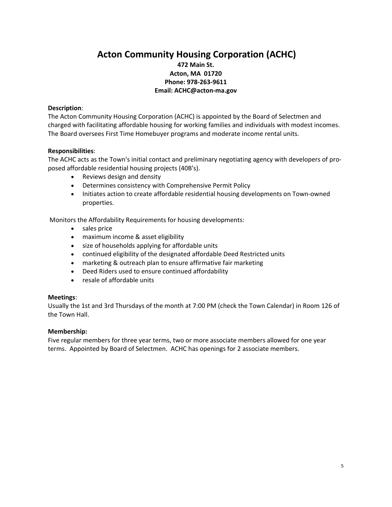# **Acton Community Housing Corporation (ACHC) 472 Main St. Acton, MA 01720 Phone: 978‐263‐9611 Email: ACHC@acton‐ma.gov**

### **Description**:

The Acton Community Housing Corporation (ACHC) is appointed by the Board of Selectmen and charged with facilitating affordable housing for working families and individuals with modest incomes. The Board oversees First Time Homebuyer programs and moderate income rental units.

### **Responsibilities**:

The ACHC acts as the Town's initial contact and preliminary negotiating agency with developers of pro‐ posed affordable residential housing projects (40B's).

- Reviews design and density
- Determines consistency with Comprehensive Permit Policy
- Initiates action to create affordable residential housing developments on Town-owned properties.

Monitors the Affordability Requirements for housing developments:

- sales price
- maximum income & asset eligibility
- size of households applying for affordable units
- continued eligibility of the designated affordable Deed Restricted units
- marketing & outreach plan to ensure affirmative fair marketing
- Deed Riders used to ensure continued affordability
- resale of affordable units

#### **Meetings**:

Usually the 1st and 3rd Thursdays of the month at 7:00 PM (check the Town Calendar) in Room 126 of the Town Hall.

#### **Membership:**

Five regular members for three year terms, two or more associate members allowed for one year terms. Appointed by Board of Selectmen. ACHC has openings for 2 associate members.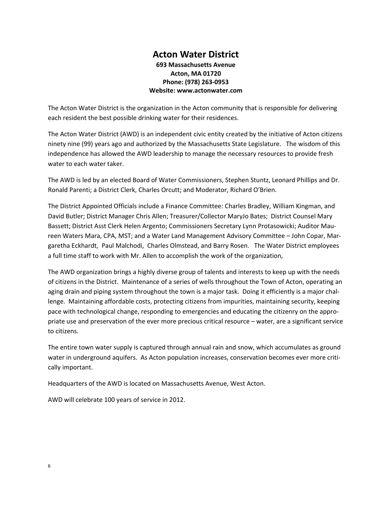# **Acton Water District 693 Massachusetts Avenue Acton, MA 01720 Phone: (978) 263‐0953 Website: www.actonwater.com**

The Acton Water District is the organization in the Acton community that is responsible for delivering each resident the best possible drinking water for their residences.

The Acton Water District (AWD) is an independent civic entity created by the initiative of Acton citizens ninety nine (99) years ago and authorized by the Massachusetts State Legislature. The wisdom of this independence has allowed the AWD leadership to manage the necessary resources to provide fresh water to each water taker.

The AWD is led by an elected Board of Water Commissioners, Stephen Stuntz, Leonard Phillips and Dr. Ronald Parenti; a District Clerk, Charles Orcutt; and Moderator, Richard O'Brien.

The District Appointed Officials include a Finance Committee: Charles Bradley, William Kingman, and David Butler; District Manager Chris Allen; Treasurer/Collector MaryJo Bates; District Counsel Mary Bassett; District Asst Clerk Helen Argento; Commissioners Secretary Lynn Protasowicki; Auditor Mau‐ reen Waters Mara, CPA, MST; and a Water Land Management Advisory Committee – John Copar, Mar‐ garetha Eckhardt, Paul Malchodi, Charles Olmstead, and Barry Rosen. The Water District employees a full time staff to work with Mr. Allen to accomplish the work of the organization,

The AWD organization brings a highly diverse group of talents and interests to keep up with the needs of citizens in the District. Maintenance of a series of wells throughout the Town of Acton, operating an aging drain and piping system throughout the town is a major task. Doing it efficiently is a major challenge. Maintaining affordable costs, protecting citizens from impurities, maintaining security, keeping pace with technological change, responding to emergencies and educating the citizenry on the appro‐ priate use and preservation of the ever more precious critical resource – water, are a significant service to citizens.

The entire town water supply is captured through annual rain and snow, which accumulates as ground water in underground aquifers. As Acton population increases, conservation becomes ever more critically important.

Headquarters of the AWD is located on Massachusetts Avenue, West Acton.

AWD will celebrate 100 years of service in 2012.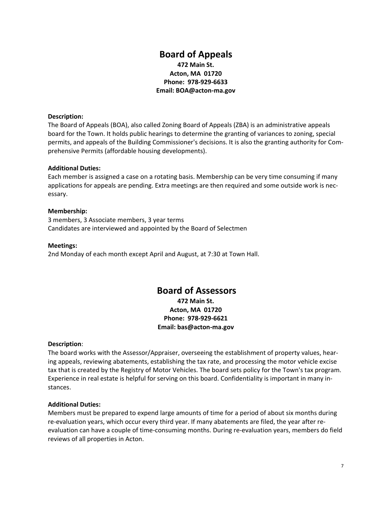# **Board of Appeals 472 Main St. Acton, MA 01720 Phone: 978‐929‐6633 Email: BOA@acton‐ma.gov**

### **Description:**

The Board of Appeals (BOA), also called Zoning Board of Appeals (ZBA) is an administrative appeals board for the Town. It holds public hearings to determine the granting of variances to zoning, special permits, and appeals of the Building Commissioner's decisions. It is also the granting authority for Com‐ prehensive Permits (affordable housing developments).

### **Additional Duties:**

Each member is assigned a case on a rotating basis. Membership can be very time consuming if many applications for appeals are pending. Extra meetings are then required and some outside work is nec‐ essary.

### **Membership:**

3 members, 3 Associate members, 3 year terms Candidates are interviewed and appointed by the Board of Selectmen

#### **Meetings:**

2nd Monday of each month except April and August, at 7:30 at Town Hall.

# **Board of Assessors**

**472 Main St. Acton, MA 01720 Phone: 978‐929‐6621 Email: bas@acton‐ma.gov**

#### **Description**:

The board works with the Assessor/Appraiser, overseeing the establishment of property values, hear‐ ing appeals, reviewing abatements, establishing the tax rate, and processing the motor vehicle excise tax that is created by the Registry of Motor Vehicles. The board sets policy for the Town's tax program. Experience in real estate is helpful for serving on this board. Confidentiality is important in many in‐ stances.

#### **Additional Duties:**

Members must be prepared to expend large amounts of time for a period of about six months during re-evaluation years, which occur every third year. If many abatements are filed, the year after reevaluation can have a couple of time‐consuming months. During re‐evaluation years, members do field reviews of all properties in Acton.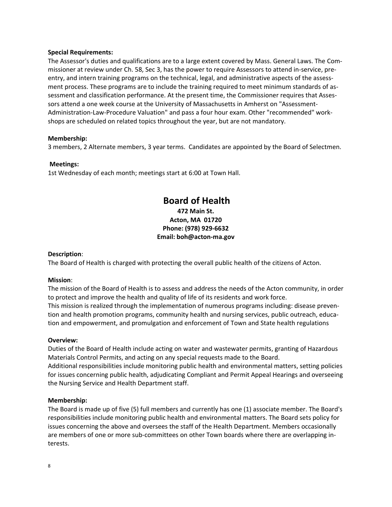#### **Special Requirements:**

The Assessor's duties and qualifications are to a large extent covered by Mass. General Laws. The Com‐ missioner at review under Ch. 58, Sec 3, has the power to require Assessors to attend in‐service, pre‐ entry, and intern training programs on the technical, legal, and administrative aspects of the assessment process. These programs are to include the training required to meet minimum standards of as‐ sessment and classification performance. At the present time, the Commissioner requires that Assessors attend a one week course at the University of Massachusetts in Amherst on "Assessment-Administration‐Law‐Procedure Valuation" and pass a four hour exam. Other "recommended" work‐ shops are scheduled on related topics throughout the year, but are not mandatory.

#### **Membership:**

3 members, 2 Alternate members, 3 year terms. Candidates are appointed by the Board of Selectmen.

#### **Meetings:**

1st Wednesday of each month; meetings start at 6:00 at Town Hall.

# **Board of Health**

# **472 Main St. Acton, MA 01720 Phone: (978) 929‐6632 Email: boh@acton‐ma.gov**

#### **Description**:

The Board of Health is charged with protecting the overall public health of the citizens of Acton.

#### **Mission**:

The mission of the Board of Health is to assess and address the needs of the Acton community, in order to protect and improve the health and quality of life of its residents and work force. This mission is realized through the implementation of numerous programs including: disease preven‐ tion and health promotion programs, community health and nursing services, public outreach, educa‐ tion and empowerment, and promulgation and enforcement of Town and State health regulations

#### **Overview:**

Duties of the Board of Health include acting on water and wastewater permits, granting of Hazardous Materials Control Permits, and acting on any special requests made to the Board.

Additional responsibilities include monitoring public health and environmental matters, setting policies for issues concerning public health, adjudicating Compliant and Permit Appeal Hearings and overseeing the Nursing Service and Health Department staff.

#### **Membership:**

The Board is made up of five (5) full members and currently has one (1) associate member. The Board's responsibilities include monitoring public health and environmental matters. The Board sets policy for issues concerning the above and oversees the staff of the Health Department. Members occasionally are members of one or more sub-committees on other Town boards where there are overlapping interests.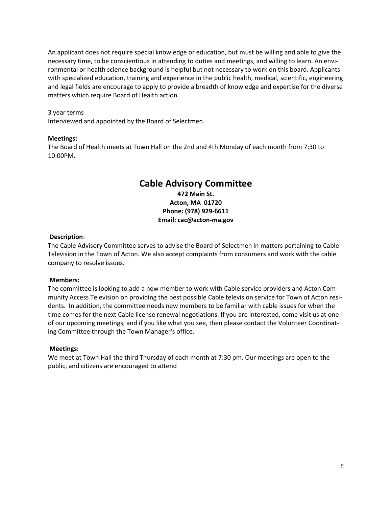An applicant does not require special knowledge or education, but must be willing and able to give the necessary time, to be conscientious in attending to duties and meetings, and willing to learn. An envi‐ ronmental or health science background is helpful but not necessary to work on this board. Applicants with specialized education, training and experience in the public health, medical, scientific, engineering and legal fields are encourage to apply to provide a breadth of knowledge and expertise for the diverse matters which require Board of Health action.

#### 3 year terms

Interviewed and appointed by the Board of Selectmen.

#### **Meetings:**

The Board of Health meets at Town Hall on the 2nd and 4th Monday of each month from 7:30 to 10:00PM.

# **Cable Advisory Committee 472 Main St. Acton, MA 01720 Phone: (978) 929‐6611 Email: cac@acton‐ma.gov**

#### **Description**:

The Cable Advisory Committee serves to advise the Board of Selectmen in matters pertaining to Cable Television in the Town of Acton. We also accept complaints from consumers and work with the cable company to resolve issues.

#### **Members:**

The committee is looking to add a new member to work with Cable service providers and Acton Com‐ munity Access Television on providing the best possible Cable television service for Town of Acton resi‐ dents. In addition, the committee needs new members to be familiar with cable issues for when the time comes for the next Cable license renewal negotiations. If you are interested, come visit us at one of our upcoming meetings, and if you like what you see, then please contact the Volunteer Coordinat‐ ing Committee through the Town Manager's office.

#### **Meetings:**

We meet at Town Hall the third Thursday of each month at 7:30 pm. Our meetings are open to the public, and citizens are encouraged to attend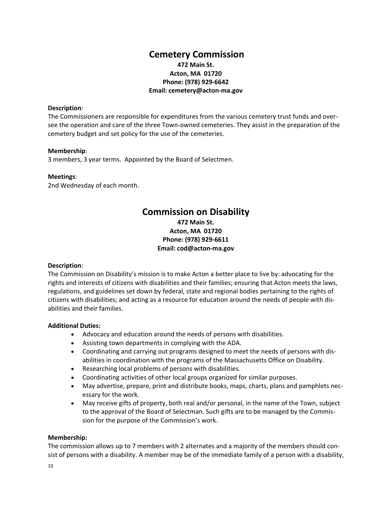# **Cemetery Commission 472 Main St. Acton, MA 01720 Phone: (978) 929‐6642 Email: cemetery@acton‐ma.gov**

### **Description**:

The Commissioners are responsible for expenditures from the various cemetery trust funds and over‐ see the operation and care of the three Town‐owned cemeteries. They assist in the preparation of the cemetery budget and set policy for the use of the cemeteries.

#### **Membership**:

3 members, 3 year terms. Appointed by the Board of Selectmen.

### **Meetings**:

2nd Wednesday of each month.

# **Commission on Disability**

**472 Main St. Acton, MA 01720 Phone: (978) 929‐6611 Email: cod@acton‐ma.gov**

# **Description**:

The Commission on Disability's mission is to make Acton a better place to live by: advocating for the rights and interests of citizens with disabilities and their families; ensuring that Acton meets the laws, regulations, and guidelines set down by federal, state and regional bodies pertaining to the rights of citizens with disabilities; and acting as a resource for education around the needs of people with dis‐ abilities and their families.

# **Additional Duties:**

- Advocacy and education around the needs of persons with disabilities.
- Assisting town departments in complying with the ADA.
- Coordinating and carrying out programs designed to meet the needs of persons with dis‐ abilities in coordination with the programs of the Massachusetts Office on Disability.
- Researching local problems of persons with disabilities.
- Coordinating activities of other local groups organized for similar purposes.
- May advertise, prepare, print and distribute books, maps, charts, plans and pamphlets necessary for the work.
- May receive gifts of property, both real and/or personal, in the name of the Town, subject to the approval of the Board of Selectman. Such gifts are to be managed by the Commission for the purpose of the Commission's work.

#### **Membership:**

The commission allows up to 7 members with 2 alternates and a majority of the members should consist of persons with a disability. A member may be of the immediate family of a person with a disability,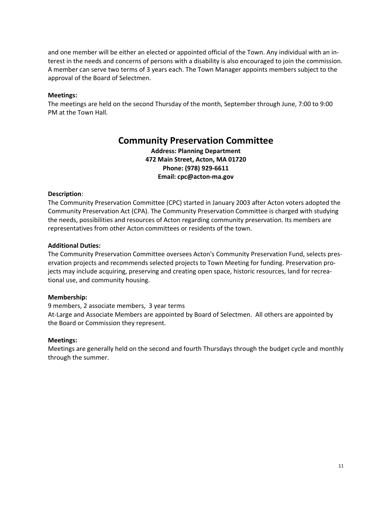and one member will be either an elected or appointed official of the Town. Any individual with an interest in the needs and concerns of persons with a disability is also encouraged to join the commission. A member can serve two terms of 3 years each. The Town Manager appoints members subject to the approval of the Board of Selectmen.

#### **Meetings:**

The meetings are held on the second Thursday of the month, September through June, 7:00 to 9:00 PM at the Town Hall.

# **Community Preservation Committee**

**Address: Planning Department 472 Main Street, Acton, MA 01720 Phone: (978) 929‐6611 Email: cpc@acton‐ma.gov**

### **Description**:

The Community Preservation Committee (CPC) started in January 2003 after Acton voters adopted the Community Preservation Act (CPA). The Community Preservation Committee is charged with studying the needs, possibilities and resources of Acton regarding community preservation. Its members are representatives from other Acton committees or residents of the town.

#### **Additional Duties:**

The Community Preservation Committee oversees Acton's Community Preservation Fund, selects pres‐ ervation projects and recommends selected projects to Town Meeting for funding. Preservation pro‐ jects may include acquiring, preserving and creating open space, historic resources, land for recreational use, and community housing.

#### **Membership:**

9 members, 2 associate members, 3 year terms At-Large and Associate Members are appointed by Board of Selectmen. All others are appointed by the Board or Commission they represent.

#### **Meetings:**

Meetings are generally held on the second and fourth Thursdays through the budget cycle and monthly through the summer.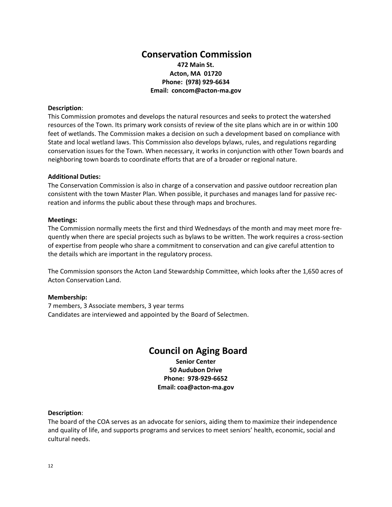# **Conservation Commission 472 Main St. Acton, MA 01720 Phone: (978) 929‐6634 Email: concom@acton‐ma.gov**

#### **Description**:

This Commission promotes and develops the natural resources and seeks to protect the watershed resources of the Town. Its primary work consists of review of the site plans which are in or within 100 feet of wetlands. The Commission makes a decision on such a development based on compliance with State and local wetland laws. This Commission also develops bylaws, rules, and regulations regarding conservation issues for the Town. When necessary, it works in conjunction with other Town boards and neighboring town boards to coordinate efforts that are of a broader or regional nature.

#### **Additional Duties:**

The Conservation Commission is also in charge of a conservation and passive outdoor recreation plan consistent with the town Master Plan. When possible, it purchases and manages land for passive rec‐ reation and informs the public about these through maps and brochures.

#### **Meetings:**

The Commission normally meets the first and third Wednesdays of the month and may meet more fre‐ quently when there are special projects such as bylaws to be written. The work requires a cross‐section of expertise from people who share a commitment to conservation and can give careful attention to the details which are important in the regulatory process.

The Commission sponsors the Acton Land Stewardship Committee, which looks after the 1,650 acres of Acton Conservation Land.

#### **Membership:**

7 members, 3 Associate members, 3 year terms Candidates are interviewed and appointed by the Board of Selectmen.

# **Council on Aging Board**

**Senior Center 50 Audubon Drive Phone: 978‐929‐6652 Email: coa@acton‐ma.gov**

#### **Description**:

The board of the COA serves as an advocate for seniors, aiding them to maximize their independence and quality of life, and supports programs and services to meet seniors' health, economic, social and cultural needs.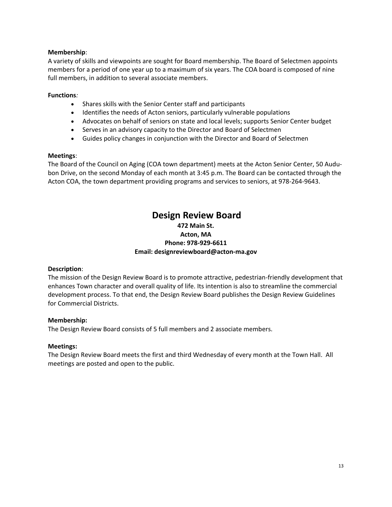# **Membership**:

A variety of skills and viewpoints are sought for Board membership. The Board of Selectmen appoints members for a period of one year up to a maximum of six years. The COA board is composed of nine full members, in addition to several associate members.

### **Functions***:*

- Shares skills with the Senior Center staff and participants
- Identifies the needs of Acton seniors, particularly vulnerable populations
- Advocates on behalf of seniors on state and local levels; supports Senior Center budget
- Serves in an advisory capacity to the Director and Board of Selectmen
- Guides policy changes in conjunction with the Director and Board of Selectmen

### **Meetings**:

The Board of the Council on Aging (COA town department) meets at the Acton Senior Center, 50 Audubon Drive, on the second Monday of each month at 3:45 p.m. The Board can be contacted through the Acton COA, the town department providing programs and services to seniors, at 978‐264‐9643.

# **Design Review Board 472 Main St. Acton, MA Phone: 978‐929‐6611 Email: designreviewboard@acton‐ma.gov**

# **Description**:

The mission of the Design Review Board is to promote attractive, pedestrian‐friendly development that enhances Town character and overall quality of life. Its intention is also to streamline the commercial development process. To that end, the Design Review Board publishes the Design Review Guidelines for Commercial Districts.

# **Membership:**

The Design Review Board consists of 5 full members and 2 associate members.

# **Meetings:**

The Design Review Board meets the first and third Wednesday of every month at the Town Hall. All meetings are posted and open to the public.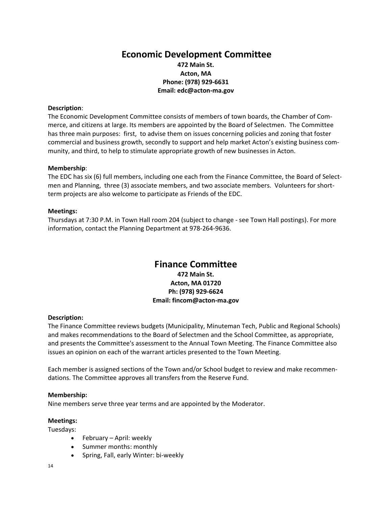# **Economic Development Committee 472 Main St. Acton, MA Phone: (978) 929‐6631 Email: edc@acton‐ma.gov**

### **Description**:

The Economic Development Committee consists of members of town boards, the Chamber of Com‐ merce, and citizens at large. Its members are appointed by the Board of Selectmen. The Committee has three main purposes: first, to advise them on issues concerning policies and zoning that foster commercial and business growth, secondly to support and help market Acton's existing business com‐ munity, and third, to help to stimulate appropriate growth of new businesses in Acton.

### **Membership**:

The EDC has six (6) full members, including one each from the Finance Committee, the Board of Selectmen and Planning, three (3) associate members, and two associate members. Volunteers for shortterm projects are also welcome to participate as Friends of the EDC.

### **Meetings:**

Thursdays at 7:30 P.M. in Town Hall room 204 (subject to change ‐ see Town Hall postings). For more information, contact the Planning Department at 978‐264‐9636.

# **Finance Committee**

**472 Main St. Acton, MA 01720 Ph: (978) 929‐6624 Email: fincom@acton‐ma.gov**

# **Description:**

The Finance Committee reviews budgets (Municipality, Minuteman Tech, Public and Regional Schools) and makes recommendations to the Board of Selectmen and the School Committee, as appropriate, and presents the Committee's assessment to the Annual Town Meeting. The Finance Committee also issues an opinion on each of the warrant articles presented to the Town Meeting.

Each member is assigned sections of the Town and/or School budget to review and make recommen‐ dations. The Committee approves all transfers from the Reserve Fund.

#### **Membership:**

Nine members serve three year terms and are appointed by the Moderator.

#### **Meetings:**

Tuesdays:

- February April: weekly
- Summer months: monthly
- Spring, Fall, early Winter: bi-weekly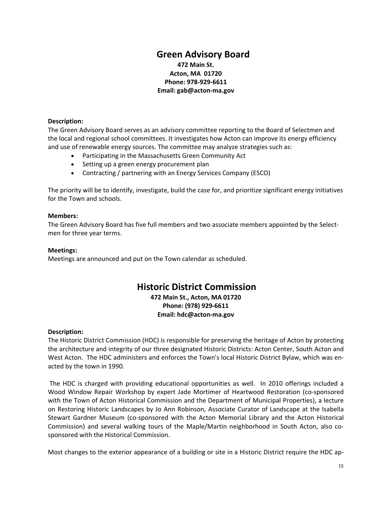# **Green Advisory Board 472 Main St. Acton, MA 01720 Phone: 978‐929‐6611**

# **Email: gab@acton‐ma.gov**

### **Description:**

The Green Advisory Board serves as an advisory committee reporting to the Board of Selectmen and the local and regional school committees. It investigates how Acton can improve its energy efficiency and use of renewable energy sources. The committee may analyze strategies such as:

- Participating in the Massachusetts Green Community Act
- Setting up a green energy procurement plan
- Contracting / partnering with an Energy Services Company (ESCO)

The priority will be to identify, investigate, build the case for, and prioritize significant energy initiatives for the Town and schools.

### **Members:**

The Green Advisory Board has five full members and two associate members appointed by the Selectmen for three year terms.

### **Meetings:**

Meetings are announced and put on the Town calendar as scheduled.

# **Historic District Commission**

**472 Main St., Acton, MA 01720 Phone: (978) 929‐6611 Email: hdc@acton‐ma.gov**

# **Description:**

The Historic District Commission (HDC) is responsible for preserving the heritage of Acton by protecting the architecture and integrity of our three designated Historic Districts: Acton Center, South Acton and West Acton. The HDC administers and enforces the Town's local Historic District Bylaw, which was en‐ acted by the town in 1990.

The HDC is charged with providing educational opportunities as well. In 2010 offerings included a Wood Window Repair Workshop by expert Jade Mortimer of Heartwood Restoration (co‐sponsored with the Town of Acton Historical Commission and the Department of Municipal Properties), a lecture on Restoring Historic Landscapes by Jo Ann Robinson, Associate Curator of Landscape at the Isabella Stewart Gardner Museum (co‐sponsored with the Acton Memorial Library and the Acton Historical Commission) and several walking tours of the Maple/Martin neighborhood in South Acton, also co‐ sponsored with the Historical Commission.

Most changes to the exterior appearance of a building or site in a Historic District require the HDC ap‐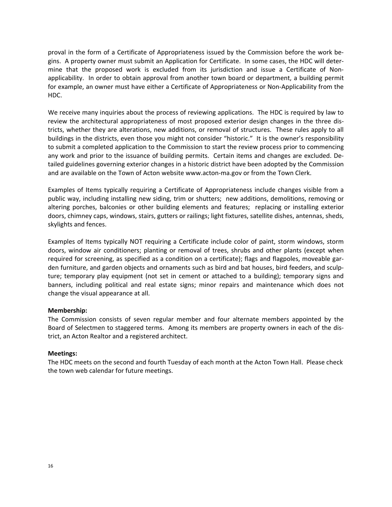proval in the form of a Certificate of Appropriateness issued by the Commission before the work be‐ gins. A property owner must submit an Application for Certificate. In some cases, the HDC will deter‐ mine that the proposed work is excluded from its jurisdiction and issue a Certificate of Nonapplicability. In order to obtain approval from another town board or department, a building permit for example, an owner must have either a Certificate of Appropriateness or Non‐Applicability from the HDC.

We receive many inquiries about the process of reviewing applications. The HDC is required by law to review the architectural appropriateness of most proposed exterior design changes in the three dis‐ tricts, whether they are alterations, new additions, or removal of structures. These rules apply to all buildings in the districts, even those you might not consider "historic." It is the owner's responsibility to submit a completed application to the Commission to start the review process prior to commencing any work and prior to the issuance of building permits. Certain items and changes are excluded. De‐ tailed guidelines governing exterior changes in a historic district have been adopted by the Commission and are available on the Town of Acton website www.acton‐ma.gov or from the Town Clerk.

Examples of Items typically requiring a Certificate of Appropriateness include changes visible from a public way, including installing new siding, trim or shutters; new additions, demolitions, removing or altering porches, balconies or other building elements and features; replacing or installing exterior doors, chimney caps, windows, stairs, gutters or railings; light fixtures, satellite dishes, antennas, sheds, skylights and fences.

Examples of Items typically NOT requiring a Certificate include color of paint, storm windows, storm doors, window air conditioners; planting or removal of trees, shrubs and other plants (except when required for screening, as specified as a condition on a certificate); flags and flagpoles, moveable gar‐ den furniture, and garden objects and ornaments such as bird and bat houses, bird feeders, and sculp‐ ture; temporary play equipment (not set in cement or attached to a building); temporary signs and banners, including political and real estate signs; minor repairs and maintenance which does not change the visual appearance at all.

# **Membership:**

The Commission consists of seven regular member and four alternate members appointed by the Board of Selectmen to staggered terms. Among its members are property owners in each of the dis‐ trict, an Acton Realtor and a registered architect.

#### **Meetings:**

The HDC meets on the second and fourth Tuesday of each month at the Acton Town Hall. Please check the town web calendar for future meetings.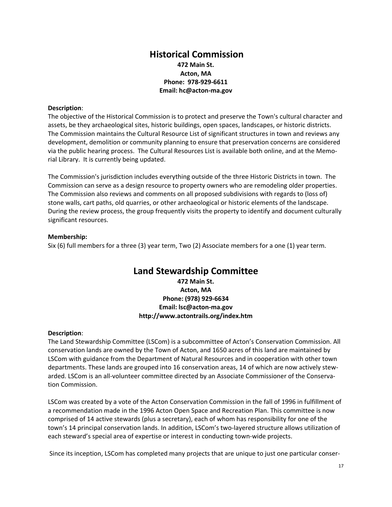# **Historical Commission 472 Main St. Acton, MA Phone: 978‐929‐6611 Email: hc@acton‐ma.gov**

### **Description**:

The objective of the Historical Commission is to protect and preserve the Town's cultural character and assets, be they archaeological sites, historic buildings, open spaces, landscapes, or historic districts. The Commission maintains the Cultural Resource List of significant structures in town and reviews any development, demolition or community planning to ensure that preservation concerns are considered via the public hearing process. The Cultural Resources List is available both online, and at the Memo‐ rial Library. It is currently being updated.

The Commission's jurisdiction includes everything outside of the three Historic Districts in town. The Commission can serve as a design resource to property owners who are remodeling older properties. The Commission also reviews and comments on all proposed subdivisions with regards to (loss of) stone walls, cart paths, old quarries, or other archaeological or historic elements of the landscape. During the review process, the group frequently visits the property to identify and document culturally significant resources.

### **Membership:**

Six (6) full members for a three (3) year term, Two (2) Associate members for a one (1) year term.

# **Land Stewardship Committee**

**472 Main St. Acton, MA Phone: (978) 929‐6634 Email: lsc@acton‐ma.gov http://www.actontrails.org/index.htm**

# **Description**:

The Land Stewardship Committee (LSCom) is a subcommittee of Acton's Conservation Commission. All conservation lands are owned by the Town of Acton, and 1650 acres of this land are maintained by LSCom with guidance from the Department of Natural Resources and in cooperation with other town departments. These lands are grouped into 16 conservation areas, 14 of which are now actively stewarded. LSCom is an all-volunteer committee directed by an Associate Commissioner of the Conservation Commission.

LSCom was created by a vote of the Acton Conservation Commission in the fall of 1996 in fulfillment of a recommendation made in the 1996 Acton Open Space and Recreation Plan. This committee is now comprised of 14 active stewards (plus a secretary), each of whom has responsibility for one of the town's 14 principal conservation lands. In addition, LSCom's two‐layered structure allows utilization of each steward's special area of expertise or interest in conducting town‐wide projects.

Since its inception, LSCom has completed many projects that are unique to just one particular conser‐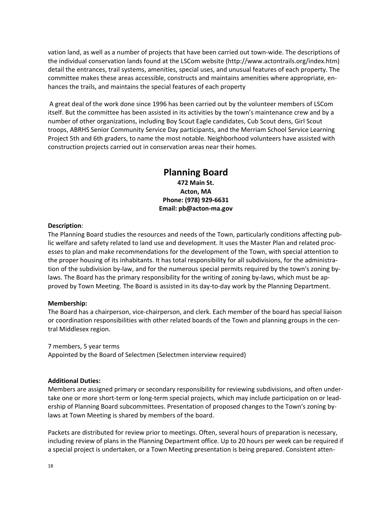vation land, as well as a number of projects that have been carried out town‐wide. The descriptions of the individual conservation lands found at the LSCom website (http://www.actontrails.org/index.htm) detail the entrances, trail systems, amenities, special uses, and unusual features of each property. The committee makes these areas accessible, constructs and maintains amenities where appropriate, en‐ hances the trails, and maintains the special features of each property

A great deal of the work done since 1996 has been carried out by the volunteer members of LSCom itself. But the committee has been assisted in its activities by the town's maintenance crew and by a number of other organizations, including Boy Scout Eagle candidates, Cub Scout dens, Girl Scout troops, ABRHS Senior Community Service Day participants, and the Merriam School Service Learning Project 5th and 6th graders, to name the most notable. Neighborhood volunteers have assisted with construction projects carried out in conservation areas near their homes.

> **Planning Board 472 Main St. Acton, MA Phone: (978) 929‐6631 Email: pb@acton‐ma.gov**

#### **Description**:

The Planning Board studies the resources and needs of the Town, particularly conditions affecting pub‐ lic welfare and safety related to land use and development. It uses the Master Plan and related proc‐ esses to plan and make recommendations for the development of the Town, with special attention to the proper housing of its inhabitants. It has total responsibility for all subdivisions, for the administration of the subdivision by-law, and for the numerous special permits required by the town's zoning bylaws. The Board has the primary responsibility for the writing of zoning by-laws, which must be approved by Town Meeting. The Board is assisted in its day‐to‐day work by the Planning Department.

#### **Membership:**

The Board has a chairperson, vice‐chairperson, and clerk. Each member of the board has special liaison or coordination responsibilities with other related boards of the Town and planning groups in the central Middlesex region.

7 members, 5 year terms

Appointed by the Board of Selectmen (Selectmen interview required)

#### **Additional Duties:**

Members are assigned primary or secondary responsibility for reviewing subdivisions, and often under‐ take one or more short-term or long-term special projects, which may include participation on or leadership of Planning Board subcommittees. Presentation of proposed changes to the Town's zoning by‐ laws at Town Meeting is shared by members of the board.

Packets are distributed for review prior to meetings. Often, several hours of preparation is necessary, including review of plans in the Planning Department office. Up to 20 hours per week can be required if a special project is undertaken, or a Town Meeting presentation is being prepared. Consistent atten‐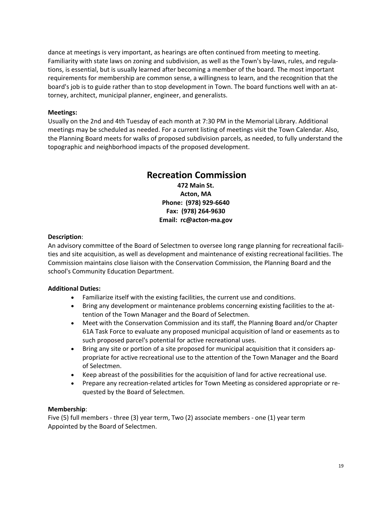dance at meetings is very important, as hearings are often continued from meeting to meeting. Familiarity with state laws on zoning and subdivision, as well as the Town's by‐laws, rules, and regula‐ tions, is essential, but is usually learned after becoming a member of the board. The most important requirements for membership are common sense, a willingness to learn, and the recognition that the board's job is to guide rather than to stop development in Town. The board functions well with an at‐ torney, architect, municipal planner, engineer, and generalists.

# **Meetings:**

Usually on the 2nd and 4th Tuesday of each month at 7:30 PM in the Memorial Library. Additional meetings may be scheduled as needed. For a current listing of meetings visit the Town Calendar. Also, the Planning Board meets for walks of proposed subdivision parcels, as needed, to fully understand the topographic and neighborhood impacts of the proposed development.

# **Recreation Commission**

**472 Main St. Acton, MA Phone: (978) 929‐6640 Fax: (978) 264‐9630 Email: rc@acton‐ma.gov**

# **Description**:

An advisory committee of the Board of Selectmen to oversee long range planning for recreational facili‐ ties and site acquisition, as well as development and maintenance of existing recreational facilities. The Commission maintains close liaison with the Conservation Commission, the Planning Board and the school's Community Education Department.

# **Additional Duties:**

- Familiarize itself with the existing facilities, the current use and conditions.
- Bring any development or maintenance problems concerning existing facilities to the attention of the Town Manager and the Board of Selectmen.
- Meet with the Conservation Commission and its staff, the Planning Board and/or Chapter 61A Task Force to evaluate any proposed municipal acquisition of land or easements as to such proposed parcel's potential for active recreational uses.
- Bring any site or portion of a site proposed for municipal acquisition that it considers appropriate for active recreational use to the attention of the Town Manager and the Board of Selectmen.
- Keep abreast of the possibilities for the acquisition of land for active recreational use.
- Prepare any recreation-related articles for Town Meeting as considered appropriate or requested by the Board of Selectmen.

# **Membership**:

Five (5) full members ‐ three (3) year term, Two (2) associate members ‐ one (1) year term Appointed by the Board of Selectmen.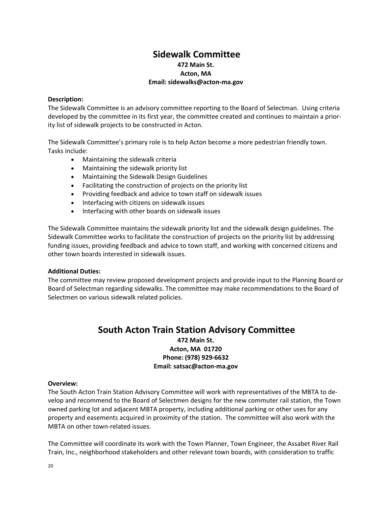# **Sidewalk Committee 472 Main St. Acton, MA Email: sidewalks@acton‐ma.gov**

### **Description:**

The Sidewalk Committee is an advisory committee reporting to the Board of Selectman. Using criteria developed by the committee in its first year, the committee created and continues to maintain a prior‐ ity list of sidewalk projects to be constructed in Acton.

The Sidewalk Committee's primary role is to help Acton become a more pedestrian friendly town. Tasks include:

- Maintaining the sidewalk criteria
- Maintaining the sidewalk priority list
- Maintaining the Sidewalk Design Guidelines
- Facilitating the construction of projects on the priority list
- Providing feedback and advice to town staff on sidewalk issues
- Interfacing with citizens on sidewalk issues
- Interfacing with other boards on sidewalk issues

The Sidewalk Committee maintains the sidewalk priority list and the sidewalk design guidelines. The Sidewalk Committee works to facilitate the construction of projects on the priority list by addressing funding issues, providing feedback and advice to town staff, and working with concerned citizens and other town boards interested in sidewalk issues.

#### **Additional Duties:**

The committee may review proposed development projects and provide input to the Planning Board or Board of Selectman regarding sidewalks. The committee may make recommendations to the Board of Selectmen on various sidewalk related policies.

# **South Acton Train Station Advisory Committee**

**472 Main St. Acton, MA 01720 Phone: (978) 929‐6632 Email: satsac@acton‐ma.gov**

#### **Overview:**

The South Acton Train Station Advisory Committee will work with representatives of the MBTA to de‐ velop and recommend to the Board of Selectmen designs for the new commuter rail station, the Town owned parking lot and adjacent MBTA property, including additional parking or other uses for any property and easements acquired in proximity of the station. The committee will also work with the MBTA on other town‐related issues.

The Committee will coordinate its work with the Town Planner, Town Engineer, the Assabet River Rail Train, Inc., neighborhood stakeholders and other relevant town boards, with consideration to traffic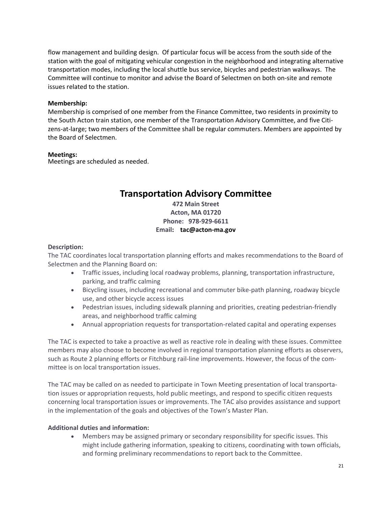flow management and building design. Of particular focus will be access from the south side of the station with the goal of mitigating vehicular congestion in the neighborhood and integrating alternative transportation modes, including the local shuttle bus service, bicycles and pedestrian walkways. The Committee will continue to monitor and advise the Board of Selectmen on both on‐site and remote issues related to the station.

#### **Membership:**

Membership is comprised of one member from the Finance Committee, two residents in proximity to the South Acton train station, one member of the Transportation Advisory Committee, and five Citi‐ zens‐at‐large; two members of the Committee shall be regular commuters. Members are appointed by the Board of Selectmen.

### **Meetings:**

Meetings are scheduled as needed.

# **Transportation Advisory Committee**

# **472 Main Street Acton, MA 01720 Phone: 978‐929‐6611 Email: tac@acton‐ma.gov**

### **Description:**

The TAC coordinates local transportation planning efforts and makes recommendations to the Board of Selectmen and the Planning Board on:

- Traffic issues, including local roadway problems, planning, transportation infrastructure, parking, and traffic calming
- Bicycling issues, including recreational and commuter bike-path planning, roadway bicycle use, and other bicycle access issues
- Pedestrian issues, including sidewalk planning and priorities, creating pedestrian-friendly areas, and neighborhood traffic calming
- Annual appropriation requests for transportation‐related capital and operating expenses

The TAC is expected to take a proactive as well as reactive role in dealing with these issues. Committee members may also choose to become involved in regional transportation planning efforts as observers, such as Route 2 planning efforts or Fitchburg rail-line improvements. However, the focus of the committee is on local transportation issues.

The TAC may be called on as needed to participate in Town Meeting presentation of local transporta‐ tion issues or appropriation requests, hold public meetings, and respond to specific citizen requests concerning local transportation issues or improvements. The TAC also provides assistance and support in the implementation of the goals and objectives of the Town's Master Plan.

# **Additional duties and information:**

 Members may be assigned primary or secondary responsibility for specific issues. This might include gathering information, speaking to citizens, coordinating with town officials, and forming preliminary recommendations to report back to the Committee.